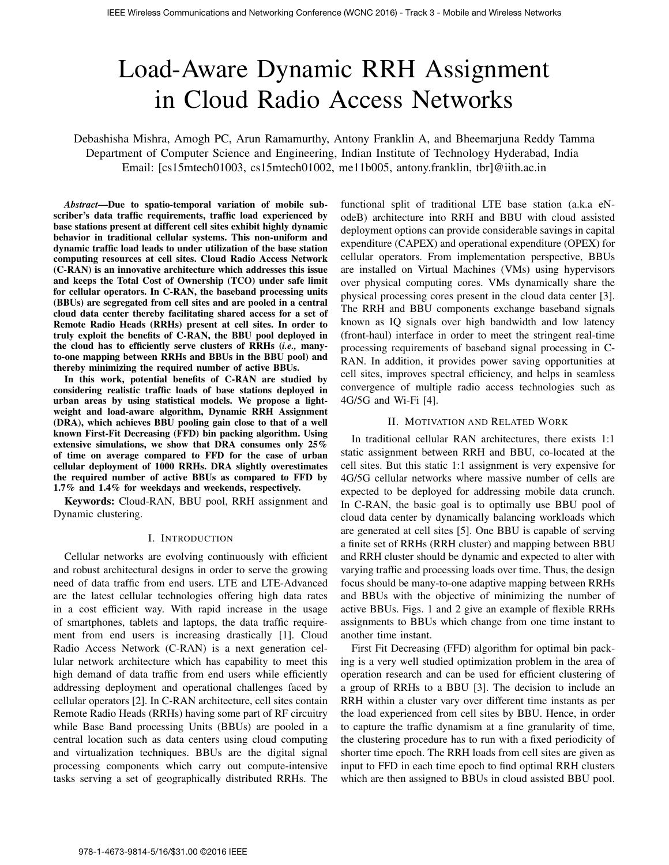# Load-Aware Dynamic RRH Assignment in Cloud Radio Access Networks

Debashisha Mishra, Amogh PC, Arun Ramamurthy, Antony Franklin A, and Bheemarjuna Reddy Tamma Department of Computer Science and Engineering, Indian Institute of Technology Hyderabad, India Email: [cs15mtech01003, cs15mtech01002, me11b005, antony.franklin, tbr]@iith.ac.in

*Abstract*—Due to spatio-temporal variation of mobile subscriber's data traffic requirements, traffic load experienced by base stations present at different cell sites exhibit highly dynamic behavior in traditional cellular systems. This non-uniform and dynamic traffic load leads to under utilization of the base station computing resources at cell sites. Cloud Radio Access Network (C-RAN) is an innovative architecture which addresses this issue and keeps the Total Cost of Ownership (TCO) under safe limit for cellular operators. In C-RAN, the baseband processing units (BBUs) are segregated from cell sites and are pooled in a central cloud data center thereby facilitating shared access for a set of Remote Radio Heads (RRHs) present at cell sites. In order to truly exploit the benefits of C-RAN, the BBU pool deployed in the cloud has to efficiently serve clusters of RRHs (*i.e.,* manyto-one mapping between RRHs and BBUs in the BBU pool) and thereby minimizing the required number of active BBUs.

In this work, potential benefits of C-RAN are studied by considering realistic traffic loads of base stations deployed in urban areas by using statistical models. We propose a lightweight and load-aware algorithm, Dynamic RRH Assignment (DRA), which achieves BBU pooling gain close to that of a well known First-Fit Decreasing (FFD) bin packing algorithm. Using extensive simulations, we show that DRA consumes only 25% of time on average compared to FFD for the case of urban cellular deployment of 1000 RRHs. DRA slightly overestimates the required number of active BBUs as compared to FFD by 1.7% and 1.4% for weekdays and weekends, respectively.

Keywords: Cloud-RAN, BBU pool, RRH assignment and Dynamic clustering.

### I. INTRODUCTION

Cellular networks are evolving continuously with efficient and robust architectural designs in order to serve the growing need of data traffic from end users. LTE and LTE-Advanced are the latest cellular technologies offering high data rates in a cost efficient way. With rapid increase in the usage of smartphones, tablets and laptops, the data traffic requirement from end users is increasing drastically [1]. Cloud Radio Access Network (C-RAN) is a next generation cellular network architecture which has capability to meet this high demand of data traffic from end users while efficiently addressing deployment and operational challenges faced by cellular operators [2]. In C-RAN architecture, cell sites contain Remote Radio Heads (RRHs) having some part of RF circuitry while Base Band processing Units (BBUs) are pooled in a central location such as data centers using cloud computing and virtualization techniques. BBUs are the digital signal processing components which carry out compute-intensive tasks serving a set of geographically distributed RRHs. The

functional split of traditional LTE base station (a.k.a eNodeB) architecture into RRH and BBU with cloud assisted deployment options can provide considerable savings in capital expenditure (CAPEX) and operational expenditure (OPEX) for cellular operators. From implementation perspective, BBUs are installed on Virtual Machines (VMs) using hypervisors over physical computing cores. VMs dynamically share the physical processing cores present in the cloud data center [3]. The RRH and BBU components exchange baseband signals known as IQ signals over high bandwidth and low latency (front-haul) interface in order to meet the stringent real-time processing requirements of baseband signal processing in C-RAN. In addition, it provides power saving opportunities at cell sites, improves spectral efficiency, and helps in seamless convergence of multiple radio access technologies such as 4G/5G and Wi-Fi [4].

# II. MOTIVATION AND RELATED WORK

In traditional cellular RAN architectures, there exists 1:1 static assignment between RRH and BBU, co-located at the cell sites. But this static 1:1 assignment is very expensive for 4G/5G cellular networks where massive number of cells are expected to be deployed for addressing mobile data crunch. In C-RAN, the basic goal is to optimally use BBU pool of cloud data center by dynamically balancing workloads which are generated at cell sites [5]. One BBU is capable of serving a finite set of RRHs (RRH cluster) and mapping between BBU and RRH cluster should be dynamic and expected to alter with varying traffic and processing loads over time. Thus, the design focus should be many-to-one adaptive mapping between RRHs and BBUs with the objective of minimizing the number of active BBUs. Figs. 1 and 2 give an example of flexible RRHs assignments to BBUs which change from one time instant to another time instant.

First Fit Decreasing (FFD) algorithm for optimal bin packing is a very well studied optimization problem in the area of operation research and can be used for efficient clustering of a group of RRHs to a BBU [3]. The decision to include an RRH within a cluster vary over different time instants as per the load experienced from cell sites by BBU. Hence, in order to capture the traffic dynamism at a fine granularity of time, the clustering procedure has to run with a fixed periodicity of shorter time epoch. The RRH loads from cell sites are given as input to FFD in each time epoch to find optimal RRH clusters which are then assigned to BBUs in cloud assisted BBU pool.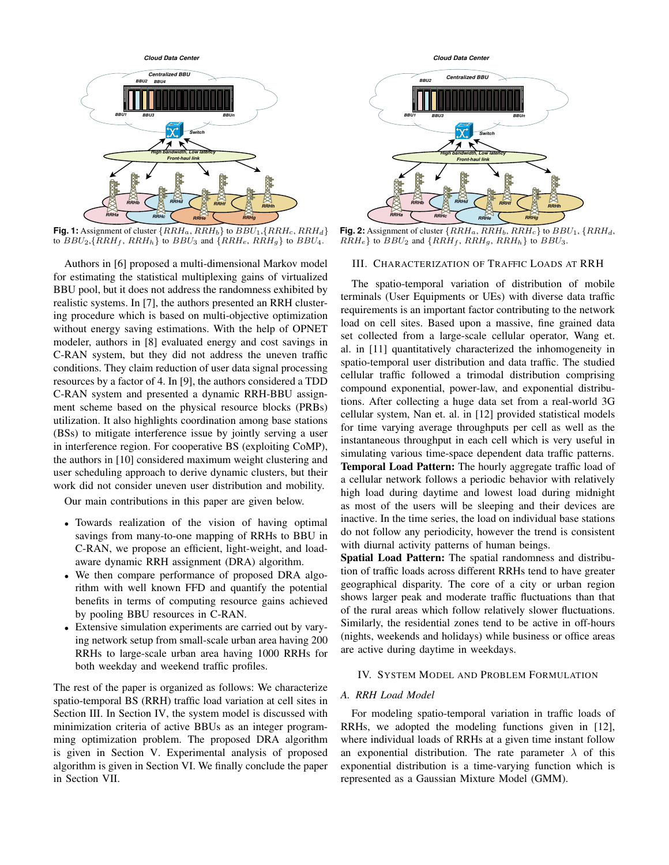

**Fig. 1:** Assignment of cluster  $\{RRH_a, \overline{RRH_b}\}$  to  $BBU_1, \{RRH_c, \overline{RRH_d}\}$ to  $BBU_2, {RRH_f, RRH_h}$  to  $BBU_3$  and  ${RRH_e, RRH_g}$  to  $BBU_4$ .

Authors in [6] proposed a multi-dimensional Markov model for estimating the statistical multiplexing gains of virtualized BBU pool, but it does not address the randomness exhibited by realistic systems. In [7], the authors presented an RRH clustering procedure which is based on multi-objective optimization without energy saving estimations. With the help of OPNET modeler, authors in [8] evaluated energy and cost savings in C-RAN system, but they did not address the uneven traffic conditions. They claim reduction of user data signal processing resources by a factor of 4. In [9], the authors considered a TDD C-RAN system and presented a dynamic RRH-BBU assignment scheme based on the physical resource blocks (PRBs) utilization. It also highlights coordination among base stations (BSs) to mitigate interference issue by jointly serving a user in interference region. For cooperative BS (exploiting CoMP), the authors in [10] considered maximum weight clustering and user scheduling approach to derive dynamic clusters, but their work did not consider uneven user distribution and mobility.

Our main contributions in this paper are given below.

- Towards realization of the vision of having optimal savings from many-to-one mapping of RRHs to BBU in C-RAN, we propose an efficient, light-weight, and loadaware dynamic RRH assignment (DRA) algorithm.
- We then compare performance of proposed DRA algorithm with well known FFD and quantify the potential benefits in terms of computing resource gains achieved by pooling BBU resources in C-RAN.
- Extensive simulation experiments are carried out by varying network setup from small-scale urban area having 200 RRHs to large-scale urban area having 1000 RRHs for both weekday and weekend traffic profiles.

The rest of the paper is organized as follows: We characterize spatio-temporal BS (RRH) traffic load variation at cell sites in Section III. In Section IV, the system model is discussed with minimization criteria of active BBUs as an integer programming optimization problem. The proposed DRA algorithm is given in Section V. Experimental analysis of proposed algorithm is given in Section VI. We finally conclude the paper in Section VII.



**Fig. 2:** Assignment of cluster  $\{RRH_a, \overline{RRH_b}, \overline{RRH_c}\}$  to  $BBU_1, \{RRH_d,$  $RRH_e$ } to  $BBU_2$  and  $\{RRH_f, RRH_g, RRH_h\}$  to  $BBU_3$ .

# III. CHARACTERIZATION OF TRAFFIC LOADS AT RRH

The spatio-temporal variation of distribution of mobile terminals (User Equipments or UEs) with diverse data traffic requirements is an important factor contributing to the network load on cell sites. Based upon a massive, fine grained data set collected from a large-scale cellular operator, Wang et. al. in [11] quantitatively characterized the inhomogeneity in spatio-temporal user distribution and data traffic. The studied cellular traffic followed a trimodal distribution comprising compound exponential, power-law, and exponential distributions. After collecting a huge data set from a real-world 3G cellular system, Nan et. al. in [12] provided statistical models for time varying average throughputs per cell as well as the instantaneous throughput in each cell which is very useful in simulating various time-space dependent data traffic patterns. Temporal Load Pattern: The hourly aggregate traffic load of a cellular network follows a periodic behavior with relatively high load during daytime and lowest load during midnight as most of the users will be sleeping and their devices are inactive. In the time series, the load on individual base stations do not follow any periodicity, however the trend is consistent with diurnal activity patterns of human beings.

Spatial Load Pattern: The spatial randomness and distribution of traffic loads across different RRHs tend to have greater geographical disparity. The core of a city or urban region shows larger peak and moderate traffic fluctuations than that of the rural areas which follow relatively slower fluctuations. Similarly, the residential zones tend to be active in off-hours (nights, weekends and holidays) while business or office areas are active during daytime in weekdays.

#### IV. SYSTEM MODEL AND PROBLEM FORMULATION

#### *A. RRH Load Model*

For modeling spatio-temporal variation in traffic loads of RRHs, we adopted the modeling functions given in [12], where individual loads of RRHs at a given time instant follow an exponential distribution. The rate parameter  $\lambda$  of this exponential distribution is a time-varying function which is represented as a Gaussian Mixture Model (GMM).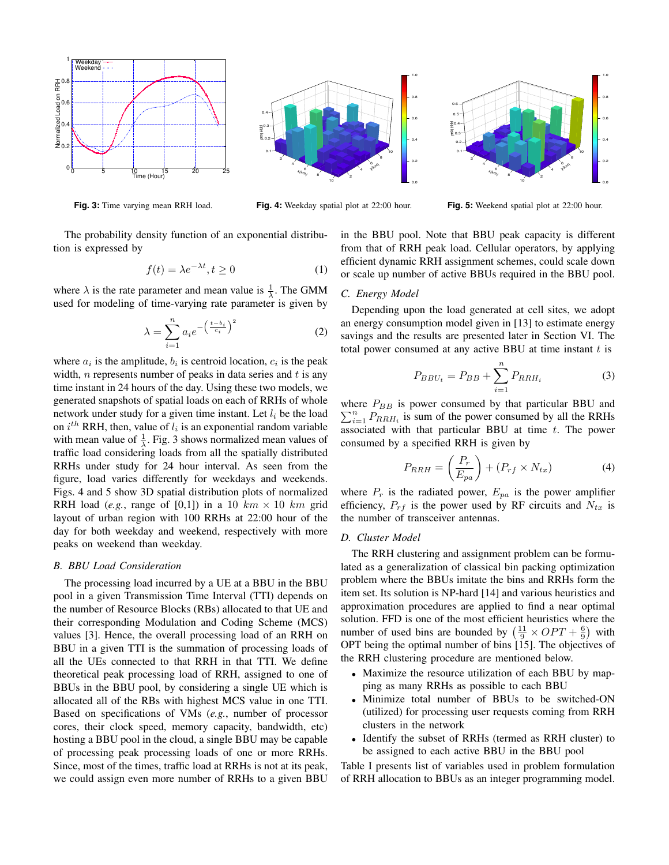

**Fig. 3:** Time varying mean RRH load.



**Fig. 4:** Weekday spatial plot at 22:00 hour.

x(km) 2 4 6 8 10 y(km) 2 4 6 8 10 필o.<br>§Lo  $0.1 0.2 -$ 0.3-1  $0.4 0.5 0.6 -$ 0.0 0.2 0.4 0.6 0.8 1.0

**Fig. 5:** Weekend spatial plot at 22:00 hour.

The probability density function of an exponential distribution is expressed by

$$
f(t) = \lambda e^{-\lambda t}, t \ge 0
$$
 (1)

where  $\lambda$  is the rate parameter and mean value is  $\frac{1}{\lambda}$ . The GMM used for modeling of time-varying rate parameter is given by

$$
\lambda = \sum_{i=1}^{n} a_i e^{-\left(\frac{t - b_i}{c_i}\right)^2} \tag{2}
$$

where  $a_i$  is the amplitude,  $b_i$  is centroid location,  $c_i$  is the peak width, n represents number of peaks in data series and  $t$  is any time instant in 24 hours of the day. Using these two models, we generated snapshots of spatial loads on each of RRHs of whole network under study for a given time instant. Let  $l_i$  be the load on  $i^{th}$  RRH, then, value of  $l_i$  is an exponential random variable with mean value of  $\frac{1}{\lambda}$ . Fig. 3 shows normalized mean values of traffic load considering loads from all the spatially distributed RRHs under study for 24 hour interval. As seen from the figure, load varies differently for weekdays and weekends. Figs. 4 and 5 show 3D spatial distribution plots of normalized RRH load (*e.g.*, range of [0,1]) in a 10  $km \times 10$  km grid layout of urban region with 100 RRHs at 22:00 hour of the day for both weekday and weekend, respectively with more peaks on weekend than weekday.

# *B. BBU Load Consideration*

The processing load incurred by a UE at a BBU in the BBU pool in a given Transmission Time Interval (TTI) depends on the number of Resource Blocks (RBs) allocated to that UE and their corresponding Modulation and Coding Scheme (MCS) values [3]. Hence, the overall processing load of an RRH on BBU in a given TTI is the summation of processing loads of all the UEs connected to that RRH in that TTI. We define theoretical peak processing load of RRH, assigned to one of BBUs in the BBU pool, by considering a single UE which is allocated all of the RBs with highest MCS value in one TTI. Based on specifications of VMs (*e.g.*, number of processor cores, their clock speed, memory capacity, bandwidth, etc) hosting a BBU pool in the cloud, a single BBU may be capable of processing peak processing loads of one or more RRHs. Since, most of the times, traffic load at RRHs is not at its peak, we could assign even more number of RRHs to a given BBU in the BBU pool. Note that BBU peak capacity is different from that of RRH peak load. Cellular operators, by applying efficient dynamic RRH assignment schemes, could scale down or scale up number of active BBUs required in the BBU pool.

# *C. Energy Model*

Depending upon the load generated at cell sites, we adopt an energy consumption model given in [13] to estimate energy savings and the results are presented later in Section VI. The total power consumed at any active BBU at time instant  $t$  is

$$
P_{BBU_t} = P_{BB} + \sum_{i=1}^{n} P_{RRH_i}
$$
 (3)

 $\sum_{i=1}^{n} P_{RRH_i}$  is sum of the power consumed by all the RRHs where  $P_{BB}$  is power consumed by that particular BBU and associated with that particular BBU at time  $t$ . The power consumed by a specified RRH is given by

$$
P_{RRH} = \left(\frac{P_r}{E_{pa}}\right) + \left(P_{rf} \times N_{tx}\right) \tag{4}
$$

where  $P_r$  is the radiated power,  $E_{pa}$  is the power amplifier efficiency,  $P_{rf}$  is the power used by RF circuits and  $N_{tx}$  is the number of transceiver antennas.

#### *D. Cluster Model*

The RRH clustering and assignment problem can be formulated as a generalization of classical bin packing optimization problem where the BBUs imitate the bins and RRHs form the item set. Its solution is NP-hard [14] and various heuristics and approximation procedures are applied to find a near optimal solution. FFD is one of the most efficient heuristics where the number of used bins are bounded by  $\left(\frac{11}{9} \times OPT + \frac{6}{9}\right)$  with OPT being the optimal number of bins [15]. The objectives of the RRH clustering procedure are mentioned below.

- Maximize the resource utilization of each BBU by mapping as many RRHs as possible to each BBU
- Minimize total number of BBUs to be switched-ON (utilized) for processing user requests coming from RRH clusters in the network
- Identify the subset of RRHs (termed as RRH cluster) to be assigned to each active BBU in the BBU pool

Table I presents list of variables used in problem formulation of RRH allocation to BBUs as an integer programming model.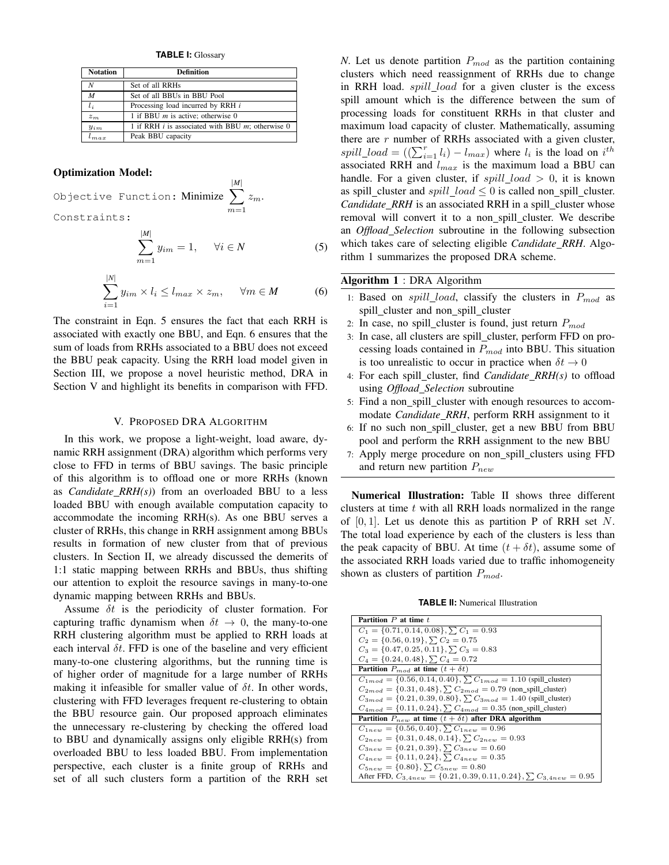**TABLE I:** Glossary

| <b>Notation</b> | <b>Definition</b>                                     |  |  |
|-----------------|-------------------------------------------------------|--|--|
| N               | Set of all RRHs                                       |  |  |
| M               | Set of all BBUs in BBU Pool                           |  |  |
| $l_i$           | Processing load incurred by RRH i                     |  |  |
| $z_m$           | 1 if BBU $m$ is active; otherwise 0                   |  |  |
| $y_{im}$        | 1 if RRH $i$ is associated with BBU $m$ ; otherwise 0 |  |  |
| m.a.x           | Peak BBU capacity                                     |  |  |

#### Optimization Model:

|*N*|

Objective Function: Minimize  $\sum$ |*M*|  $m=1$  $z_m$ . Constraints:

$$
\sum_{m=1}^{|M|} y_{im} = 1, \quad \forall i \in N
$$
 (5)

$$
\sum_{i=1}^{|N|} y_{im} \times l_i \le l_{max} \times z_m, \quad \forall m \in M \tag{6}
$$

The constraint in Eqn. 5 ensures the fact that each RRH is associated with exactly one BBU, and Eqn. 6 ensures that the sum of loads from RRHs associated to a BBU does not exceed the BBU peak capacity. Using the RRH load model given in Section III, we propose a novel heuristic method, DRA in Section V and highlight its benefits in comparison with FFD.

## V. PROPOSED DRA ALGORITHM

In this work, we propose a light-weight, load aware, dynamic RRH assignment (DRA) algorithm which performs very close to FFD in terms of BBU savings. The basic principle of this algorithm is to offload one or more RRHs (known as *Candidate RRH(s)*) from an overloaded BBU to a less loaded BBU with enough available computation capacity to accommodate the incoming RRH(s). As one BBU serves a cluster of RRHs, this change in RRH assignment among BBUs results in formation of new cluster from that of previous clusters. In Section II, we already discussed the demerits of 1:1 static mapping between RRHs and BBUs, thus shifting our attention to exploit the resource savings in many-to-one dynamic mapping between RRHs and BBUs.

Assume  $\delta t$  is the periodicity of cluster formation. For capturing traffic dynamism when  $\delta t \rightarrow 0$ , the many-to-one RRH clustering algorithm must be applied to RRH loads at each interval  $\delta t$ . FFD is one of the baseline and very efficient many-to-one clustering algorithms, but the running time is of higher order of magnitude for a large number of RRHs making it infeasible for smaller value of  $\delta t$ . In other words, clustering with FFD leverages frequent re-clustering to obtain the BBU resource gain. Our proposed approach eliminates the unnecessary re-clustering by checking the offered load to BBU and dynamically assigns only eligible RRH(s) from overloaded BBU to less loaded BBU. From implementation perspective, each cluster is a finite group of RRHs and set of all such clusters form a partition of the RRH set *N*. Let us denote partition  $P_{mod}$  as the partition containing clusters which need reassignment of RRHs due to change in RRH load. *spill\_load* for a given cluster is the excess spill amount which is the difference between the sum of processing loads for constituent RRHs in that cluster and maximum load capacity of cluster. Mathematically, assuming there are  $r$  number of RRHs associated with a given cluster, spill\_load =  $((\sum_{i=1}^r l_i) - l_{max})$  where  $l_i$  is the load on  $i^{th}$ associated RRH and  $l_{max}$  is the maximum load a BBU can handle. For a given cluster, if  $spill\_load > 0$ , it is known as spill\_cluster and  $spill\_load \leq 0$  is called non\_spill\_cluster. *Candidate\_RRH* is an associated RRH in a spill\_cluster whose removal will convert it to a non spill cluster. We describe an *Offload Selection* subroutine in the following subsection which takes care of selecting eligible *Candidate RRH*. Algorithm 1 summarizes the proposed DRA scheme.

# Algorithm 1 : DRA Algorithm

- 1: Based on spill\_load, classify the clusters in  $P_{mod}$  as spill\_cluster and non\_spill\_cluster
- 2: In case, no spill\_cluster is found, just return  $P_{mod}$
- 3: In case, all clusters are spill cluster, perform FFD on processing loads contained in  $P_{mod}$  into BBU. This situation is too unrealistic to occur in practice when  $\delta t \rightarrow 0$
- 4: For each spill cluster, find *Candidate RRH(s)* to offload using *Offload Selection* subroutine
- 5: Find a non\_spill\_cluster with enough resources to accommodate *Candidate RRH*, perform RRH assignment to it
- 6: If no such non spill cluster, get a new BBU from BBU pool and perform the RRH assignment to the new BBU
- 7: Apply merge procedure on non spill clusters using FFD and return new partition  $P_{new}$

Numerical Illustration: Table II shows three different clusters at time  $t$  with all RRH loads normalized in the range of  $[0, 1]$ . Let us denote this as partition P of RRH set N. The total load experience by each of the clusters is less than the peak capacity of BBU. At time  $(t + \delta t)$ , assume some of the associated RRH loads varied due to traffic inhomogeneity shown as clusters of partition  $P_{mod}$ .

**TABLE II:** Numerical Illustration

| Partition $P$ at time $t$                                                    |  |  |  |
|------------------------------------------------------------------------------|--|--|--|
| $C_1 = \{0.71, 0.14, 0.08\}, \sum C_1 = 0.93$                                |  |  |  |
| $C_2 = \{0.56, 0.19\}, \sum C_2 = 0.75$                                      |  |  |  |
| $C_3 = \{0.47, 0.25, 0.11\}, \sum C_3 = 0.83$                                |  |  |  |
| $C_4 = \{0.24, 0.48\}, \sum C_4 = 0.72$                                      |  |  |  |
| <b>Partition</b> $P_{mod}$ at time $(t + \delta t)$                          |  |  |  |
| $C_{1mod} = \{0.56, 0.14, 0.40\}, \sum C_{1mod} = 1.10$ (spill_cluster)      |  |  |  |
| $C_{2mod} = \{0.31, 0.48\}, \sum C_{2mod} = 0.79$ (non_spill_cluster)        |  |  |  |
| $C_{3mod} = \{0.21, 0.39, 0.80\}, \sum C_{3mod} = 1.40$ (spill_cluster)      |  |  |  |
| $C_{4mod} = \{0.11, 0.24\}, \sum C_{4mod} = 0.35$ (non_spill_cluster)        |  |  |  |
| Partition $P_{new}$ at time $(t + \delta t)$ after DRA algorithm             |  |  |  |
| $C_{1new} = \{0.56, 0.40\}, \sum C_{1new} = 0.96$                            |  |  |  |
| $C_{2new} = \{0.31, 0.48, 0.14\}, \sum C_{2new} = 0.93$                      |  |  |  |
| $C_{3new} = \{0.21, 0.39\}, \sum C_{3new} = 0.60$                            |  |  |  |
| $C_{4new} = \{0.11, 0.24\}, \sum C_{4new} = 0.35$                            |  |  |  |
| $C_{5new} = \{0.80\}, \sum C_{5new} = 0.80$                                  |  |  |  |
| After FFD, $C_{3,4new} = \{0.21, 0.39, 0.11, 0.24\}, \sum C_{3,4new} = 0.95$ |  |  |  |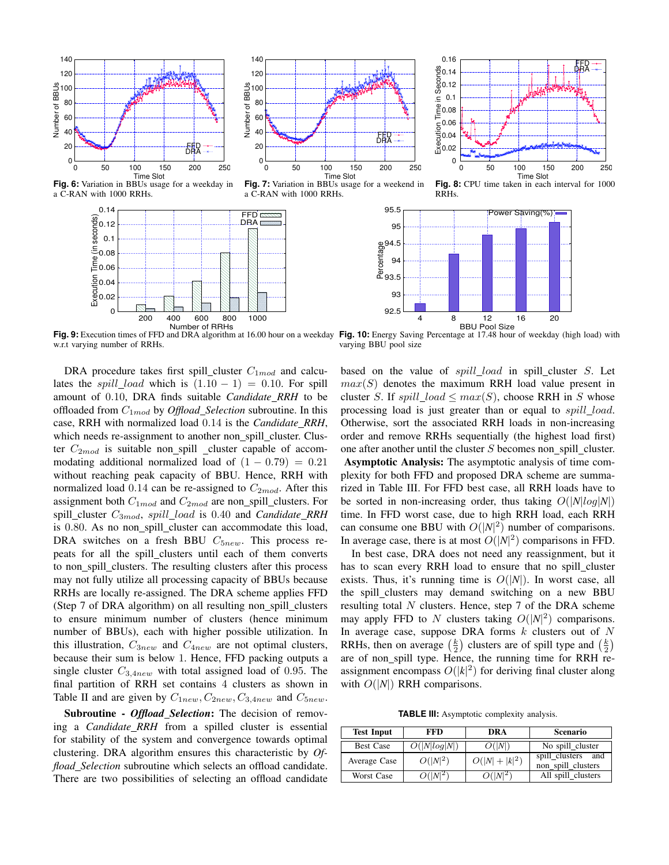



**Fig. 6:** Variation in BBUs usage for a weekday in a C-RAN with 1000 RRHs.

![](_page_4_Figure_3.jpeg)

**Fig. 7:** Variation in BBUs usage for a weekend in a C-RAN with 1000 RRHs.

![](_page_4_Figure_5.jpeg)

RRHs.

**Fig. 9:** Execution times of FFD and DRA algorithm at 16.00 hour on a weekday w.r.t varying number of RRHs.

DRA procedure takes first spill\_cluster  $C_{1mod}$  and calculates the spill\_load which is  $(1.10 - 1) = 0.10$ . For spill amount of 0.10, DRA finds suitable *Candidate RRH* to be offloaded from C1mod by *Offload Selection* subroutine. In this case, RRH with normalized load 0.14 is the *Candidate RRH*, which needs re-assignment to another non\_spill\_cluster. Cluster  $C_{2mod}$  is suitable non\_spill \_cluster capable of accommodating additional normalized load of  $(1 - 0.79) = 0.21$ without reaching peak capacity of BBU. Hence, RRH with normalized load 0.14 can be re-assigned to  $C_{2mod}$ . After this assignment both  $C_{1mod}$  and  $C_{2mod}$  are non\_spill\_clusters. For spill cluster C3mod, spill load is 0.40 and *Candidate RRH* is 0.80. As no non\_spill\_cluster can accommodate this load, DRA switches on a fresh BBU  $C_{5new}$ . This process repeats for all the spill clusters until each of them converts to non spill clusters. The resulting clusters after this process may not fully utilize all processing capacity of BBUs because RRHs are locally re-assigned. The DRA scheme applies FFD (Step 7 of DRA algorithm) on all resulting non\_spill\_clusters to ensure minimum number of clusters (hence minimum number of BBUs), each with higher possible utilization. In this illustration,  $C_{3new}$  and  $C_{4new}$  are not optimal clusters, because their sum is below 1. Hence, FFD packing outputs a single cluster  $C_{3,4new}$  with total assigned load of 0.95. The final partition of RRH set contains 4 clusters as shown in Table II and are given by  $C_{1new}$ ,  $C_{2new}$ ,  $C_{3.4new}$  and  $C_{5new}$ .

Subroutine - *Offload Selection*: The decision of removing a *Candidate RRH* from a spilled cluster is essential for stability of the system and convergence towards optimal clustering. DRA algorithm ensures this characteristic by *Offload Selection* subroutine which selects an offload candidate. There are two possibilities of selecting an offload candidate

**Fig. 10:** Energy Saving Percentage at 17.48 hour of weekday (high load) with varying BBU pool size

based on the value of  $spill\_load$  in spill\_cluster  $S$ . Let  $max(S)$  denotes the maximum RRH load value present in cluster S. If  $spill\_load \leq max(S)$ , choose RRH in S whose processing load is just greater than or equal to *spill load*. Otherwise, sort the associated RRH loads in non-increasing order and remove RRHs sequentially (the highest load first) one after another until the cluster  $S$  becomes non spill cluster. Asymptotic Analysis: The asymptotic analysis of time complexity for both FFD and proposed DRA scheme are summarized in Table III. For FFD best case, all RRH loads have to be sorted in non-increasing order, thus taking  $O(|N|log|N|)$ time. In FFD worst case, due to high RRH load, each RRH can consume one BBU with  $O(|N|^2)$  number of comparisons. In average case, there is at most  $O(|N|^2)$  comparisons in FFD.

In best case, DRA does not need any reassignment, but it has to scan every RRH load to ensure that no spill cluster exists. Thus, it's running time is  $O(|N|)$ . In worst case, all the spill clusters may demand switching on a new BBU resulting total  $N$  clusters. Hence, step  $7$  of the DRA scheme may apply FFD to N clusters taking  $O(|N|^2)$  comparisons. In average case, suppose DRA forms  $k$  clusters out of  $N$ RRHs, then on average  $(\frac{k}{2})$  clusters are of spill type and  $(\frac{k}{2})$ are of non\_spill type. Hence, the running time for RRH reassignment encompass  $O(|k|^2)$  for deriving final cluster along with  $O(|N|)$  RRH comparisons.

**TABLE III:** Asymptotic complexity analysis.

| <b>Test Input</b> | <b>FFD</b>   | DRA            | <b>Scenario</b>                          |
|-------------------|--------------|----------------|------------------------------------------|
| <b>Best Case</b>  | O( N log N ) | O( N )         | No spill cluster                         |
| Average Case      | $O( N ^2)$   | $O( N + k ^2)$ | spill_clusters and<br>non_spill_clusters |
| Worst Case        | $O( N ^2)$   | $O( N ^2)$     | All spill_clusters                       |

![](_page_4_Figure_14.jpeg)